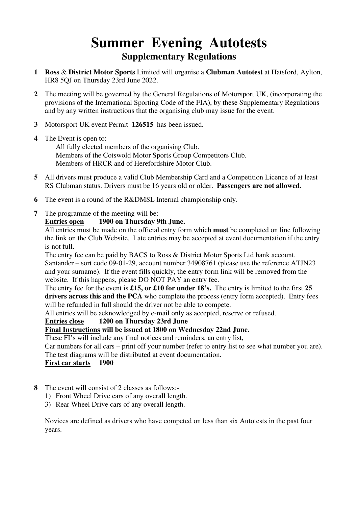# **Summer Evening Autotests Supplementary Regulations**

- **1 Ross** & **District Motor Sports** Limited will organise a **Clubman Autotest** at Hatsford, Aylton, HR8 5QJ on Thursday 23rd June 2022.
- **2** The meeting will be governed by the General Regulations of Motorsport UK, (incorporating the provisions of the International Sporting Code of the FIA), by these Supplementary Regulations and by any written instructions that the organising club may issue for the event.
- **3** Motorsport UK event Permit **126515** has been issued.
- **4** The Event is open to:

 All fully elected members of the organising Club. Members of the Cotswold Motor Sports Group Competitors Club. Members of HRCR and of Herefordshire Motor Club.

- **5** All drivers must produce a valid Club Membership Card and a Competition Licence of at least RS Clubman status. Drivers must be 16 years old or older. **Passengers are not allowed.**
- **6** The event is a round of the R&DMSL Internal championship only.
- **7** The programme of the meeting will be:

#### **Entries open 1900 on Thursday 9th June.**

All entries must be made on the official entry form which **must** be completed on line following the link on the Club Website. Late entries may be accepted at event documentation if the entry is not full.

The entry fee can be paid by BACS to Ross & District Motor Sports Ltd bank account. Santander – sort code 09-01-29, account number 34908761 (please use the reference ATJN23 and your surname). If the event fills quickly, the entry form link will be removed from the website. If this happens, please DO NOT PAY an entry fee.

The entry fee for the event is **£15, or £10 for under 18's.** The entry is limited to the first **25 drivers across this and the PCA** who complete the process (entry form accepted). Entry fees will be refunded in full should the driver not be able to compete.

All entries will be acknowledged by e-mail only as accepted, reserve or refused.

#### **Entries close 1200 on Thursday 23rd June**

### **Final Instructions will be issued at 1800 on Wednesday 22nd June.**

These FI's will include any final notices and reminders, an entry list,

Car numbers for all cars – print off your number (refer to entry list to see what number you are). The test diagrams will be distributed at event documentation.

 **First car starts 1900**

- **8** The event will consist of 2 classes as follows:-
	- 1) Front Wheel Drive cars of any overall length.
	- 3) Rear Wheel Drive cars of any overall length.

 Novices are defined as drivers who have competed on less than six Autotests in the past four years.